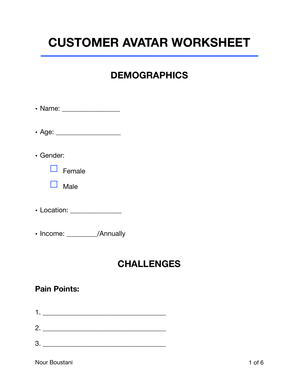# **CUSTOMER AVATAR WORKSHEET**

# **DEMOGRAPHICS**

| $\cdot$ Gender:              |
|------------------------------|
| $\Box$ Female                |
| $\square$ Male               |
| • Location: ________________ |
| • Income: / Annually         |
|                              |

## **CHALLENGES**

#### **Pain Points:**

- 1. \_\_\_\_\_\_\_\_\_\_\_\_\_\_\_\_\_\_\_\_\_\_\_\_\_\_\_\_\_\_\_\_\_\_\_\_
- 2. \_\_\_\_\_\_\_\_\_\_\_\_\_\_\_\_\_\_\_\_\_\_\_\_\_\_\_\_\_\_\_\_\_\_\_\_
- 3. \_\_\_\_\_\_\_\_\_\_\_\_\_\_\_\_\_\_\_\_\_\_\_\_\_\_\_\_\_\_\_\_\_\_\_\_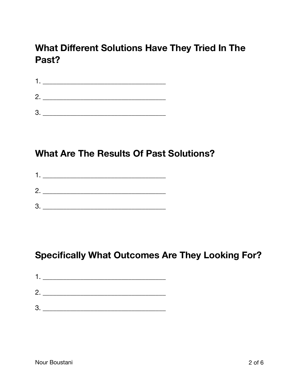# **What Different Solutions Have They Tried In The** Past?

|              | $\frac{1}{\sqrt{1-\frac{1}{2}}}\frac{1}{\sqrt{1-\frac{1}{2}}\left(\frac{1}{2}-\frac{1}{2}\right)}$ |  |
|--------------|----------------------------------------------------------------------------------------------------|--|
| $\mathbf{2}$ |                                                                                                    |  |
| З            |                                                                                                    |  |

## **What Are The Results Of Past Solutions?**

- 
- $\begin{tabular}{c} 3. \end{tabular}$

# **Specifically What Outcomes Are They Looking For?**

| 1. |  |  |
|----|--|--|
| 2. |  |  |
| 3  |  |  |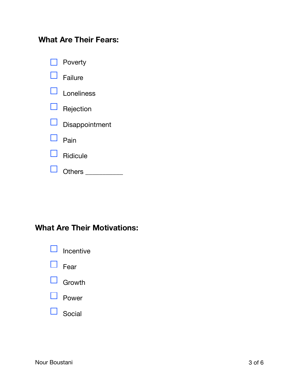## **What Are Their Fears:**

|                          | <b>Poverty</b> |
|--------------------------|----------------|
|                          | Failure        |
|                          | I oneliness    |
| $\Box$                   | Rejection      |
| $\overline{\phantom{0}}$ | Disappointment |
|                          | Pain           |
|                          | Ridicule       |
|                          | Others         |

## **What Are Their Motivations:**

|              | Incentive     |
|--------------|---------------|
| ⊔            | Fear          |
|              | $\Box$ Growth |
| $\mathsf{L}$ | Power         |
|              | Social        |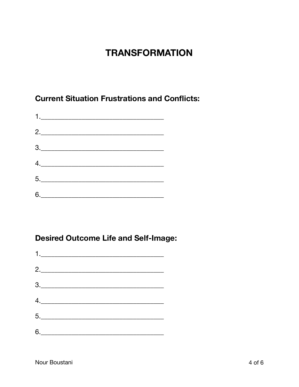# **TRANSFORMATION**

**Current Situation Frustrations and Conflicts:** 

| $\begin{array}{c} \n\textbf{1} & \textbf{1} & \textbf{1} & \textbf{1} & \textbf{1} & \textbf{1} & \textbf{1} & \textbf{1} & \textbf{1} & \textbf{1} & \textbf{1} & \textbf{1} & \textbf{1} & \textbf{1} & \textbf{1} & \textbf{1} & \textbf{1} & \textbf{1} & \textbf{1} & \textbf{1} & \textbf{1} & \textbf{1} & \textbf{1} & \textbf{1} & \textbf{1} & \textbf{1} & \textbf{1} & \textbf{1} & \textbf{1} & \textbf{1} & \$                                                                                                                         |
|------------------------------------------------------------------------------------------------------------------------------------------------------------------------------------------------------------------------------------------------------------------------------------------------------------------------------------------------------------------------------------------------------------------------------------------------------------------------------------------------------------------------------------------------------|
| 2.                                                                                                                                                                                                                                                                                                                                                                                                                                                                                                                                                   |
| $\begin{array}{c} 3. \qquad \qquad \text{---} \qquad \qquad \text{---} \qquad \qquad \text{---} \qquad \qquad \text{---} \qquad \text{---} \qquad \text{---} \qquad \text{---} \qquad \text{---} \qquad \text{---} \qquad \text{---} \qquad \text{---} \qquad \text{---} \qquad \text{---} \qquad \text{---} \qquad \text{---} \qquad \text{---} \qquad \text{---} \qquad \text{---} \qquad \text{---} \qquad \text{---} \qquad \text{---} \qquad \text{---} \qquad \text{---} \qquad \text{---} \qquad \text{$                                      |
| $\begin{array}{c} \n4. \quad \text{---} \quad \text{---} \quad \text{---} \quad \text{---} \quad \text{---} \quad \text{---} \quad \text{---} \quad \text{---} \quad \text{---} \quad \text{---} \quad \text{---} \quad \text{---} \quad \text{---} \quad \text{---} \quad \text{---} \quad \text{---} \quad \text{---} \quad \text{---} \quad \text{---} \quad \text{---} \quad \text{---} \quad \text{---} \quad \text{---} \quad \text{---} \quad \text{---} \quad \text{---} \quad \text{---} \quad \text{---} \quad \text{---} \quad \text{---$ |
| $5. \underline{\hspace{2cm}}$                                                                                                                                                                                                                                                                                                                                                                                                                                                                                                                        |
| $6. \underline{\hspace{2cm}}$                                                                                                                                                                                                                                                                                                                                                                                                                                                                                                                        |

## **Desired Outcome Life and Self-Image:**

| 2.                                                                                                                                                                                                                                                                                                                                                                                                                                                                                                                                                   |
|------------------------------------------------------------------------------------------------------------------------------------------------------------------------------------------------------------------------------------------------------------------------------------------------------------------------------------------------------------------------------------------------------------------------------------------------------------------------------------------------------------------------------------------------------|
| $\begin{array}{c} 3. \qquad \qquad \text{ } \end{array}$                                                                                                                                                                                                                                                                                                                                                                                                                                                                                             |
| $\begin{array}{c} \n4. \quad \text{---} \quad \text{---} \quad \text{---} \quad \text{---} \quad \text{---} \quad \text{---} \quad \text{---} \quad \text{---} \quad \text{---} \quad \text{---} \quad \text{---} \quad \text{---} \quad \text{---} \quad \text{---} \quad \text{---} \quad \text{---} \quad \text{---} \quad \text{---} \quad \text{---} \quad \text{---} \quad \text{---} \quad \text{---} \quad \text{---} \quad \text{---} \quad \text{---} \quad \text{---} \quad \text{---} \quad \text{---} \quad \text{---} \quad \text{---$ |
| $5. \underline{\hspace{2cm}}$                                                                                                                                                                                                                                                                                                                                                                                                                                                                                                                        |
| $6. \underline{\hspace{2cm}}$                                                                                                                                                                                                                                                                                                                                                                                                                                                                                                                        |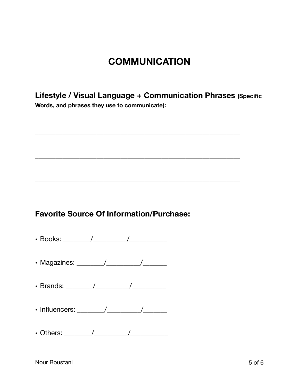## **COMMUNICATION**

**Lifestyle / Visual Language + Communication Phrases (Specific Words, and phrases they use to communicate):**

\_\_\_\_\_\_\_\_\_\_\_\_\_\_\_\_\_\_\_\_\_\_\_\_\_\_\_\_\_\_\_\_\_\_\_\_\_\_\_\_\_\_\_\_\_\_\_\_\_\_\_\_\_\_\_\_\_\_\_\_

\_\_\_\_\_\_\_\_\_\_\_\_\_\_\_\_\_\_\_\_\_\_\_\_\_\_\_\_\_\_\_\_\_\_\_\_\_\_\_\_\_\_\_\_\_\_\_\_\_\_\_\_\_\_\_\_\_\_\_\_

\_\_\_\_\_\_\_\_\_\_\_\_\_\_\_\_\_\_\_\_\_\_\_\_\_\_\_\_\_\_\_\_\_\_\_\_\_\_\_\_\_\_\_\_\_\_\_\_\_\_\_\_\_\_\_\_\_\_\_\_

#### **Favorite Source Of Information/Purchase:**

- Books: \_\_\_\_\_\_\_\_/\_\_\_\_\_\_\_\_\_\_/\_\_\_\_\_\_\_\_\_\_\_
- Magazines: \_\_\_\_\_\_\_\_/\_\_\_\_\_\_\_\_\_\_/\_\_\_\_\_\_\_
- Brands: \_\_\_\_\_\_\_\_/\_\_\_\_\_\_\_\_\_\_/\_\_\_\_\_\_\_\_\_\_
- Influencers: \_\_\_\_\_\_\_\_/\_\_\_\_\_\_\_\_\_\_/\_\_\_\_\_\_\_
- Others: \_\_\_\_\_\_\_\_/\_\_\_\_\_\_\_\_\_\_/\_\_\_\_\_\_\_\_\_\_\_

Nour Boustani 5 of 6